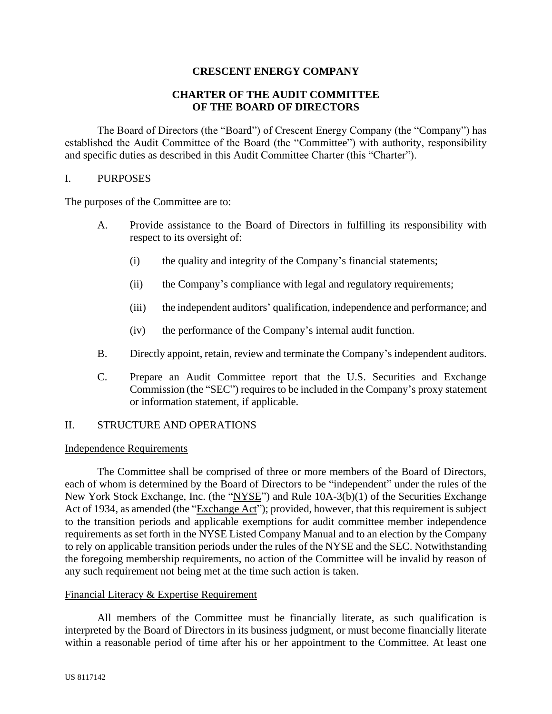# **CRESCENT ENERGY COMPANY**

# **CHARTER OF THE AUDIT COMMITTEE OF THE BOARD OF DIRECTORS**

The Board of Directors (the "Board") of Crescent Energy Company (the "Company") has established the Audit Committee of the Board (the "Committee") with authority, responsibility and specific duties as described in this Audit Committee Charter (this "Charter").

#### I. PURPOSES

The purposes of the Committee are to:

- A. Provide assistance to the Board of Directors in fulfilling its responsibility with respect to its oversight of:
	- (i) the quality and integrity of the Company's financial statements;
	- (ii) the Company's compliance with legal and regulatory requirements;
	- (iii) the independent auditors' qualification, independence and performance; and
	- (iv) the performance of the Company's internal audit function.
- B. Directly appoint, retain, review and terminate the Company's independent auditors.
- C. Prepare an Audit Committee report that the U.S. Securities and Exchange Commission (the "SEC") requires to be included in the Company's proxy statement or information statement, if applicable.

### II. STRUCTURE AND OPERATIONS

#### Independence Requirements

The Committee shall be comprised of three or more members of the Board of Directors, each of whom is determined by the Board of Directors to be "independent" under the rules of the New York Stock Exchange, Inc. (the "NYSE") and Rule 10A-3(b)(1) of the Securities Exchange Act of 1934, as amended (the "Exchange Act"); provided, however, that this requirement is subject to the transition periods and applicable exemptions for audit committee member independence requirements as set forth in the NYSE Listed Company Manual and to an election by the Company to rely on applicable transition periods under the rules of the NYSE and the SEC. Notwithstanding the foregoing membership requirements, no action of the Committee will be invalid by reason of any such requirement not being met at the time such action is taken.

### Financial Literacy & Expertise Requirement

All members of the Committee must be financially literate, as such qualification is interpreted by the Board of Directors in its business judgment, or must become financially literate within a reasonable period of time after his or her appointment to the Committee. At least one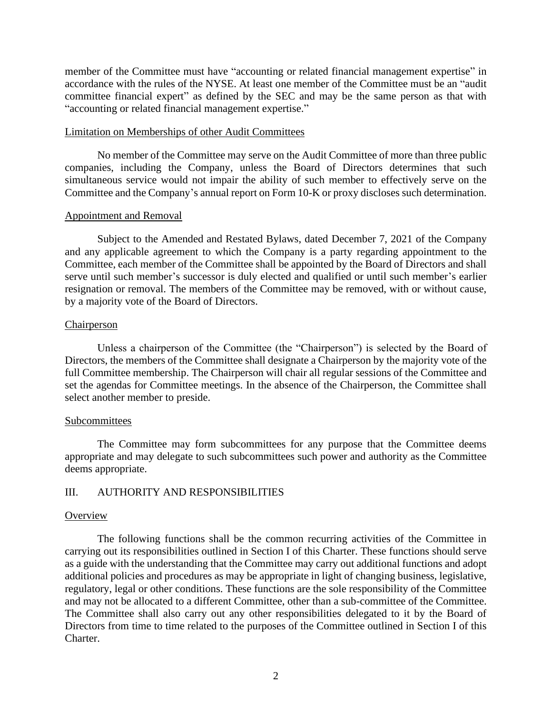member of the Committee must have "accounting or related financial management expertise" in accordance with the rules of the NYSE. At least one member of the Committee must be an "audit committee financial expert" as defined by the SEC and may be the same person as that with "accounting or related financial management expertise."

#### Limitation on Memberships of other Audit Committees

No member of the Committee may serve on the Audit Committee of more than three public companies, including the Company, unless the Board of Directors determines that such simultaneous service would not impair the ability of such member to effectively serve on the Committee and the Company's annual report on Form 10-K or proxy discloses such determination.

#### Appointment and Removal

Subject to the Amended and Restated Bylaws, dated December 7, 2021 of the Company and any applicable agreement to which the Company is a party regarding appointment to the Committee, each member of the Committee shall be appointed by the Board of Directors and shall serve until such member's successor is duly elected and qualified or until such member's earlier resignation or removal. The members of the Committee may be removed, with or without cause, by a majority vote of the Board of Directors.

### Chairperson

Unless a chairperson of the Committee (the "Chairperson") is selected by the Board of Directors, the members of the Committee shall designate a Chairperson by the majority vote of the full Committee membership. The Chairperson will chair all regular sessions of the Committee and set the agendas for Committee meetings. In the absence of the Chairperson, the Committee shall select another member to preside.

### Subcommittees

The Committee may form subcommittees for any purpose that the Committee deems appropriate and may delegate to such subcommittees such power and authority as the Committee deems appropriate.

### III. AUTHORITY AND RESPONSIBILITIES

#### **Overview**

The following functions shall be the common recurring activities of the Committee in carrying out its responsibilities outlined in Section I of this Charter. These functions should serve as a guide with the understanding that the Committee may carry out additional functions and adopt additional policies and procedures as may be appropriate in light of changing business, legislative, regulatory, legal or other conditions. These functions are the sole responsibility of the Committee and may not be allocated to a different Committee, other than a sub-committee of the Committee. The Committee shall also carry out any other responsibilities delegated to it by the Board of Directors from time to time related to the purposes of the Committee outlined in Section I of this Charter.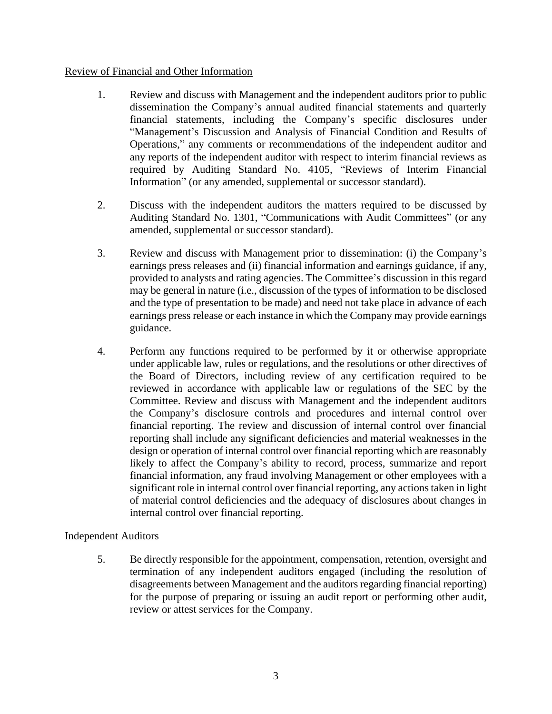# Review of Financial and Other Information

- 1. Review and discuss with Management and the independent auditors prior to public dissemination the Company's annual audited financial statements and quarterly financial statements, including the Company's specific disclosures under "Management's Discussion and Analysis of Financial Condition and Results of Operations," any comments or recommendations of the independent auditor and any reports of the independent auditor with respect to interim financial reviews as required by Auditing Standard No. 4105, "Reviews of Interim Financial Information" (or any amended, supplemental or successor standard).
- 2. Discuss with the independent auditors the matters required to be discussed by Auditing Standard No. 1301, "Communications with Audit Committees" (or any amended, supplemental or successor standard).
- 3. Review and discuss with Management prior to dissemination: (i) the Company's earnings press releases and (ii) financial information and earnings guidance, if any, provided to analysts and rating agencies. The Committee's discussion in this regard may be general in nature (i.e., discussion of the types of information to be disclosed and the type of presentation to be made) and need not take place in advance of each earnings press release or each instance in which the Company may provide earnings guidance.
- 4. Perform any functions required to be performed by it or otherwise appropriate under applicable law, rules or regulations, and the resolutions or other directives of the Board of Directors, including review of any certification required to be reviewed in accordance with applicable law or regulations of the SEC by the Committee. Review and discuss with Management and the independent auditors the Company's disclosure controls and procedures and internal control over financial reporting. The review and discussion of internal control over financial reporting shall include any significant deficiencies and material weaknesses in the design or operation of internal control over financial reporting which are reasonably likely to affect the Company's ability to record, process, summarize and report financial information, any fraud involving Management or other employees with a significant role in internal control over financial reporting, any actions taken in light of material control deficiencies and the adequacy of disclosures about changes in internal control over financial reporting.

### Independent Auditors

5. Be directly responsible for the appointment, compensation, retention, oversight and termination of any independent auditors engaged (including the resolution of disagreements between Management and the auditors regarding financial reporting) for the purpose of preparing or issuing an audit report or performing other audit, review or attest services for the Company.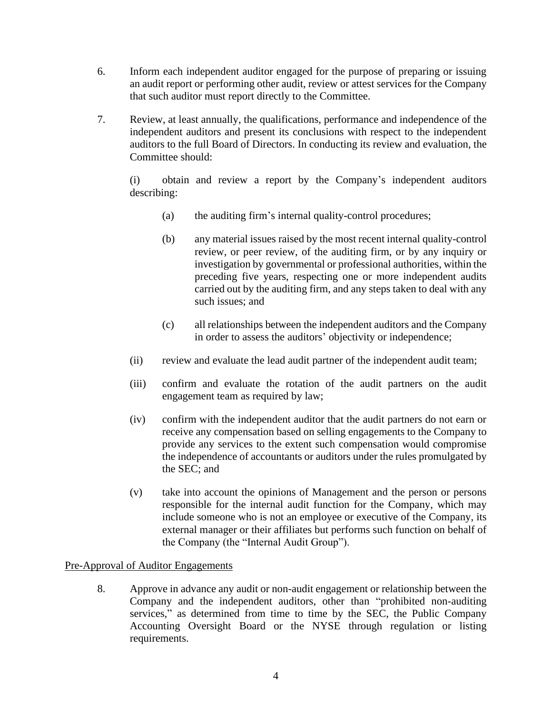- 6. Inform each independent auditor engaged for the purpose of preparing or issuing an audit report or performing other audit, review or attest services for the Company that such auditor must report directly to the Committee.
- 7. Review, at least annually, the qualifications, performance and independence of the independent auditors and present its conclusions with respect to the independent auditors to the full Board of Directors. In conducting its review and evaluation, the Committee should:

(i) obtain and review a report by the Company's independent auditors describing:

- (a) the auditing firm's internal quality-control procedures;
- (b) any material issues raised by the most recent internal quality-control review, or peer review, of the auditing firm, or by any inquiry or investigation by governmental or professional authorities, within the preceding five years, respecting one or more independent audits carried out by the auditing firm, and any steps taken to deal with any such issues; and
- (c) all relationships between the independent auditors and the Company in order to assess the auditors' objectivity or independence;
- (ii) review and evaluate the lead audit partner of the independent audit team;
- (iii) confirm and evaluate the rotation of the audit partners on the audit engagement team as required by law;
- (iv) confirm with the independent auditor that the audit partners do not earn or receive any compensation based on selling engagements to the Company to provide any services to the extent such compensation would compromise the independence of accountants or auditors under the rules promulgated by the SEC; and
- (v) take into account the opinions of Management and the person or persons responsible for the internal audit function for the Company, which may include someone who is not an employee or executive of the Company, its external manager or their affiliates but performs such function on behalf of the Company (the "Internal Audit Group").

### Pre-Approval of Auditor Engagements

8. Approve in advance any audit or non-audit engagement or relationship between the Company and the independent auditors, other than "prohibited non-auditing services," as determined from time to time by the SEC, the Public Company Accounting Oversight Board or the NYSE through regulation or listing requirements.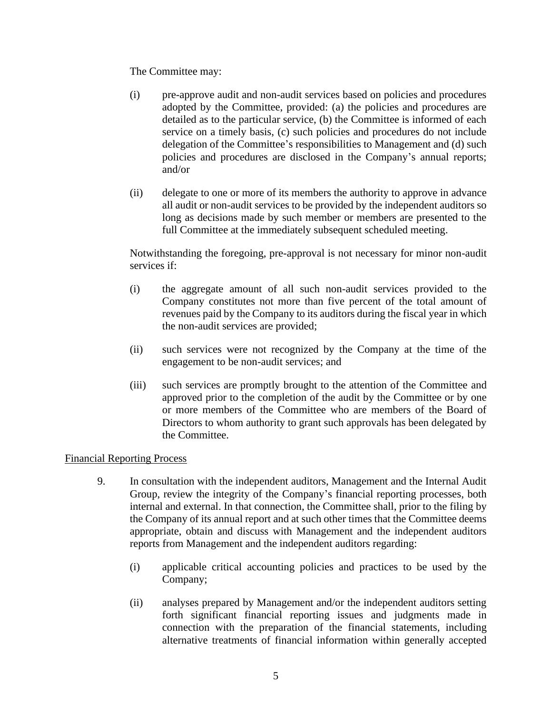The Committee may:

- (i) pre-approve audit and non-audit services based on policies and procedures adopted by the Committee, provided: (a) the policies and procedures are detailed as to the particular service, (b) the Committee is informed of each service on a timely basis, (c) such policies and procedures do not include delegation of the Committee's responsibilities to Management and (d) such policies and procedures are disclosed in the Company's annual reports; and/or
- (ii) delegate to one or more of its members the authority to approve in advance all audit or non-audit services to be provided by the independent auditors so long as decisions made by such member or members are presented to the full Committee at the immediately subsequent scheduled meeting.

Notwithstanding the foregoing, pre-approval is not necessary for minor non-audit services if:

- (i) the aggregate amount of all such non-audit services provided to the Company constitutes not more than five percent of the total amount of revenues paid by the Company to its auditors during the fiscal year in which the non-audit services are provided;
- (ii) such services were not recognized by the Company at the time of the engagement to be non-audit services; and
- (iii) such services are promptly brought to the attention of the Committee and approved prior to the completion of the audit by the Committee or by one or more members of the Committee who are members of the Board of Directors to whom authority to grant such approvals has been delegated by the Committee.

### Financial Reporting Process

- 9. In consultation with the independent auditors, Management and the Internal Audit Group, review the integrity of the Company's financial reporting processes, both internal and external. In that connection, the Committee shall, prior to the filing by the Company of its annual report and at such other times that the Committee deems appropriate, obtain and discuss with Management and the independent auditors reports from Management and the independent auditors regarding:
	- (i) applicable critical accounting policies and practices to be used by the Company;
	- (ii) analyses prepared by Management and/or the independent auditors setting forth significant financial reporting issues and judgments made in connection with the preparation of the financial statements, including alternative treatments of financial information within generally accepted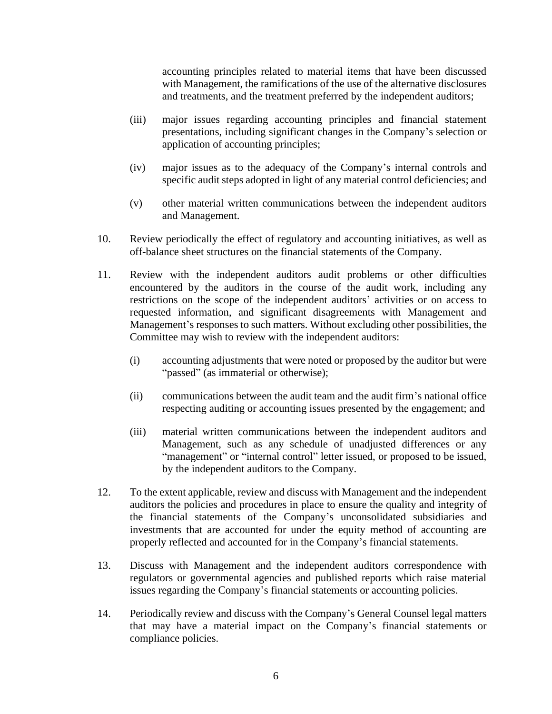accounting principles related to material items that have been discussed with Management, the ramifications of the use of the alternative disclosures and treatments, and the treatment preferred by the independent auditors;

- (iii) major issues regarding accounting principles and financial statement presentations, including significant changes in the Company's selection or application of accounting principles;
- (iv) major issues as to the adequacy of the Company's internal controls and specific audit steps adopted in light of any material control deficiencies; and
- (v) other material written communications between the independent auditors and Management.
- 10. Review periodically the effect of regulatory and accounting initiatives, as well as off-balance sheet structures on the financial statements of the Company.
- 11. Review with the independent auditors audit problems or other difficulties encountered by the auditors in the course of the audit work, including any restrictions on the scope of the independent auditors' activities or on access to requested information, and significant disagreements with Management and Management's responses to such matters. Without excluding other possibilities, the Committee may wish to review with the independent auditors:
	- (i) accounting adjustments that were noted or proposed by the auditor but were "passed" (as immaterial or otherwise);
	- (ii) communications between the audit team and the audit firm's national office respecting auditing or accounting issues presented by the engagement; and
	- (iii) material written communications between the independent auditors and Management, such as any schedule of unadjusted differences or any "management" or "internal control" letter issued, or proposed to be issued, by the independent auditors to the Company.
- 12. To the extent applicable, review and discuss with Management and the independent auditors the policies and procedures in place to ensure the quality and integrity of the financial statements of the Company's unconsolidated subsidiaries and investments that are accounted for under the equity method of accounting are properly reflected and accounted for in the Company's financial statements.
- 13. Discuss with Management and the independent auditors correspondence with regulators or governmental agencies and published reports which raise material issues regarding the Company's financial statements or accounting policies.
- 14. Periodically review and discuss with the Company's General Counsel legal matters that may have a material impact on the Company's financial statements or compliance policies.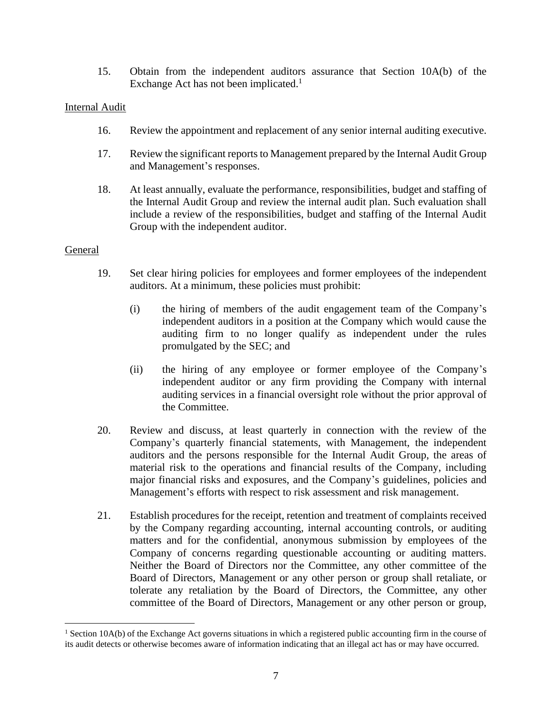15. Obtain from the independent auditors assurance that Section 10A(b) of the Exchange Act has not been implicated.<sup>1</sup>

### Internal Audit

- 16. Review the appointment and replacement of any senior internal auditing executive.
- 17. Review the significant reports to Management prepared by the Internal Audit Group and Management's responses.
- 18. At least annually, evaluate the performance, responsibilities, budget and staffing of the Internal Audit Group and review the internal audit plan. Such evaluation shall include a review of the responsibilities, budget and staffing of the Internal Audit Group with the independent auditor.

#### General

- 19. Set clear hiring policies for employees and former employees of the independent auditors. At a minimum, these policies must prohibit:
	- (i) the hiring of members of the audit engagement team of the Company's independent auditors in a position at the Company which would cause the auditing firm to no longer qualify as independent under the rules promulgated by the SEC; and
	- (ii) the hiring of any employee or former employee of the Company's independent auditor or any firm providing the Company with internal auditing services in a financial oversight role without the prior approval of the Committee.
- 20. Review and discuss, at least quarterly in connection with the review of the Company's quarterly financial statements, with Management, the independent auditors and the persons responsible for the Internal Audit Group, the areas of material risk to the operations and financial results of the Company, including major financial risks and exposures, and the Company's guidelines, policies and Management's efforts with respect to risk assessment and risk management.
- 21. Establish procedures for the receipt, retention and treatment of complaints received by the Company regarding accounting, internal accounting controls, or auditing matters and for the confidential, anonymous submission by employees of the Company of concerns regarding questionable accounting or auditing matters. Neither the Board of Directors nor the Committee, any other committee of the Board of Directors, Management or any other person or group shall retaliate, or tolerate any retaliation by the Board of Directors, the Committee, any other committee of the Board of Directors, Management or any other person or group,

<sup>&</sup>lt;sup>1</sup> Section 10A(b) of the Exchange Act governs situations in which a registered public accounting firm in the course of its audit detects or otherwise becomes aware of information indicating that an illegal act has or may have occurred.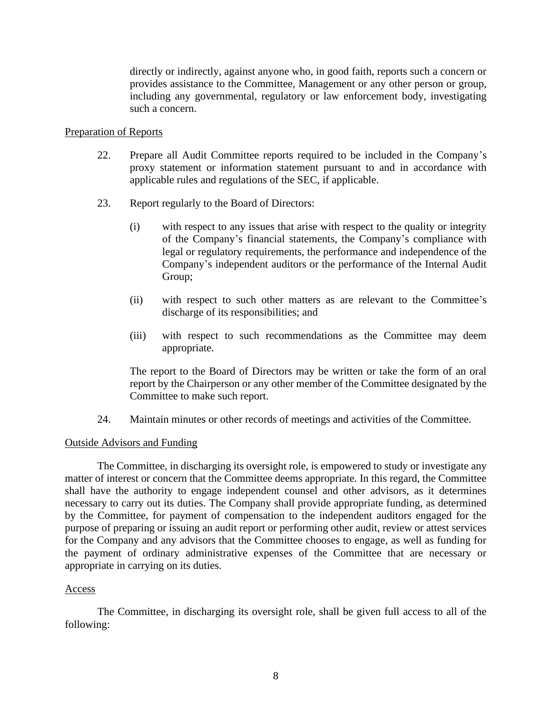directly or indirectly, against anyone who, in good faith, reports such a concern or provides assistance to the Committee, Management or any other person or group, including any governmental, regulatory or law enforcement body, investigating such a concern.

### Preparation of Reports

- 22. Prepare all Audit Committee reports required to be included in the Company's proxy statement or information statement pursuant to and in accordance with applicable rules and regulations of the SEC, if applicable.
- 23. Report regularly to the Board of Directors:
	- (i) with respect to any issues that arise with respect to the quality or integrity of the Company's financial statements, the Company's compliance with legal or regulatory requirements, the performance and independence of the Company's independent auditors or the performance of the Internal Audit Group;
	- (ii) with respect to such other matters as are relevant to the Committee's discharge of its responsibilities; and
	- (iii) with respect to such recommendations as the Committee may deem appropriate.

The report to the Board of Directors may be written or take the form of an oral report by the Chairperson or any other member of the Committee designated by the Committee to make such report.

24. Maintain minutes or other records of meetings and activities of the Committee.

### Outside Advisors and Funding

The Committee, in discharging its oversight role, is empowered to study or investigate any matter of interest or concern that the Committee deems appropriate. In this regard, the Committee shall have the authority to engage independent counsel and other advisors, as it determines necessary to carry out its duties. The Company shall provide appropriate funding, as determined by the Committee, for payment of compensation to the independent auditors engaged for the purpose of preparing or issuing an audit report or performing other audit, review or attest services for the Company and any advisors that the Committee chooses to engage, as well as funding for the payment of ordinary administrative expenses of the Committee that are necessary or appropriate in carrying on its duties.

#### Access

The Committee, in discharging its oversight role, shall be given full access to all of the following: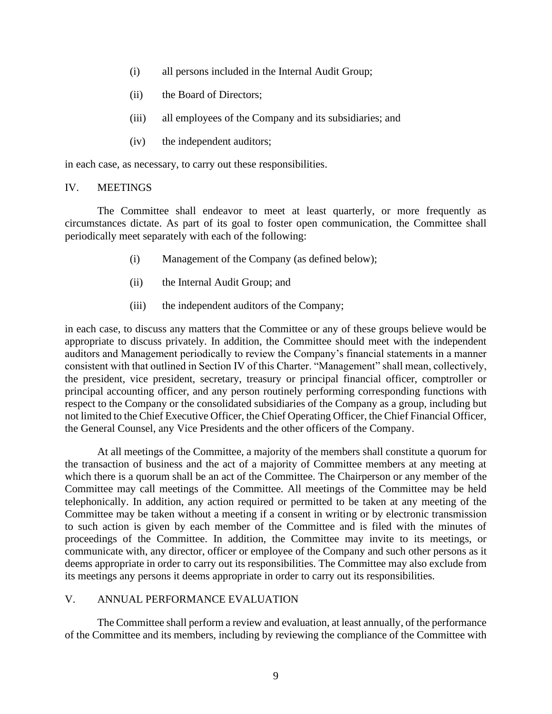- (i) all persons included in the Internal Audit Group;
- (ii) the Board of Directors;
- (iii) all employees of the Company and its subsidiaries; and
- (iv) the independent auditors;

in each case, as necessary, to carry out these responsibilities.

#### IV. MEETINGS

The Committee shall endeavor to meet at least quarterly, or more frequently as circumstances dictate. As part of its goal to foster open communication, the Committee shall periodically meet separately with each of the following:

- (i) Management of the Company (as defined below);
- (ii) the Internal Audit Group; and
- (iii) the independent auditors of the Company;

in each case, to discuss any matters that the Committee or any of these groups believe would be appropriate to discuss privately. In addition, the Committee should meet with the independent auditors and Management periodically to review the Company's financial statements in a manner consistent with that outlined in Section IV of this Charter. "Management" shall mean, collectively, the president, vice president, secretary, treasury or principal financial officer, comptroller or principal accounting officer, and any person routinely performing corresponding functions with respect to the Company or the consolidated subsidiaries of the Company as a group, including but not limited to the Chief Executive Officer, the Chief Operating Officer, the Chief Financial Officer, the General Counsel, any Vice Presidents and the other officers of the Company.

At all meetings of the Committee, a majority of the members shall constitute a quorum for the transaction of business and the act of a majority of Committee members at any meeting at which there is a quorum shall be an act of the Committee. The Chairperson or any member of the Committee may call meetings of the Committee. All meetings of the Committee may be held telephonically. In addition, any action required or permitted to be taken at any meeting of the Committee may be taken without a meeting if a consent in writing or by electronic transmission to such action is given by each member of the Committee and is filed with the minutes of proceedings of the Committee. In addition, the Committee may invite to its meetings, or communicate with, any director, officer or employee of the Company and such other persons as it deems appropriate in order to carry out its responsibilities. The Committee may also exclude from its meetings any persons it deems appropriate in order to carry out its responsibilities.

# V. ANNUAL PERFORMANCE EVALUATION

The Committee shall perform a review and evaluation, at least annually, of the performance of the Committee and its members, including by reviewing the compliance of the Committee with